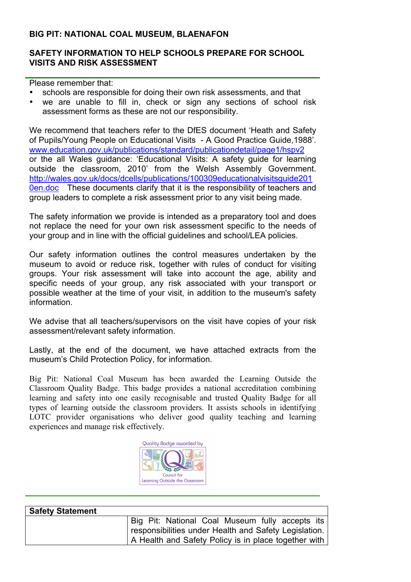### **BIG PIT: NATIONAL COAL MUSEUM, BLAENAFON**

## **SAFETY INFORMATION TO HELP SCHOOLS PREPARE FOR SCHOOL VISITS AND RISK ASSESSMENT**

Please remember that:

- schools are responsible for doing their own risk assessments, and that
- we are unable to fill in, check or sign any sections of school risk assessment forms as these are not our responsibility.

We recommend that teachers refer to the DfES document 'Heath and Safety of Pupils/Young People on Educational Visits - A Good Practice Guide,1988'. www.education.gov.uk/publications/standard/publicationdetail/page1/hspv2 or the all Wales guidance: 'Educational Visits: A safety guide for learning outside the classroom, 2010' from the Welsh Assembly Government. http://wales.gov.uk/docs/dcells/publications/100309educationalvisitsguide201 0en.doc These documents clarify that it is the responsibility of teachers and group leaders to complete a risk assessment prior to any visit being made.

The safety information we provide is intended as a preparatory tool and does not replace the need for your own risk assessment specific to the needs of your group and in line with the official guidelines and school/LEA policies.

Our safety information outlines the control measures undertaken by the museum to avoid or reduce risk, together with rules of conduct for visiting groups. Your risk assessment will take into account the age, ability and specific needs of your group, any risk associated with your transport or possible weather at the time of your visit, in addition to the museum's safety information.

We advise that all teachers/supervisors on the visit have copies of your risk assessment/relevant safety information.

Lastly, at the end of the document, we have attached extracts from the museum's Child Protection Policy, for information.

Big Pit: National Coal Museum has been awarded the Learning Outside the Classroom Quality Badge. This badge provides a national accreditation combining learning and safety into one easily recognisable and trusted Quality Badge for all types of learning outside the classroom providers. It assists schools in identifying LOTC provider organisations who deliver good quality teaching and learning experiences and manage risk effectively.



| <b>Safety Statement</b> |                                                       |
|-------------------------|-------------------------------------------------------|
|                         | Big Pit: National Coal Museum fully accepts its       |
|                         | responsibilities under Health and Safety Legislation. |
|                         | A Health and Safety Policy is in place together with  |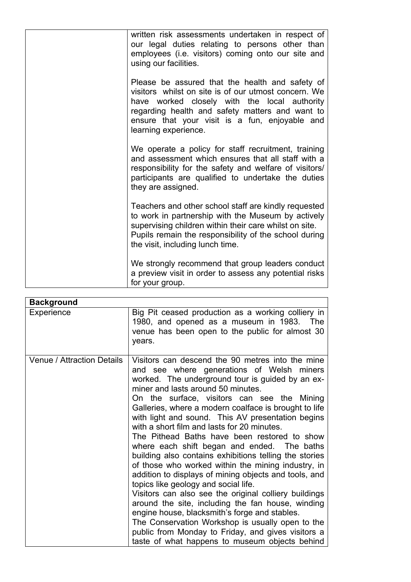| written risk assessments undertaken in respect of<br>our legal duties relating to persons other than<br>employees (i.e. visitors) coming onto our site and<br>using our facilities.                                                                                                  |
|--------------------------------------------------------------------------------------------------------------------------------------------------------------------------------------------------------------------------------------------------------------------------------------|
| Please be assured that the health and safety of<br>visitors whilst on site is of our utmost concern. We<br>have worked closely with the local authority<br>regarding health and safety matters and want to<br>ensure that your visit is a fun, enjoyable and<br>learning experience. |
| We operate a policy for staff recruitment, training<br>and assessment which ensures that all staff with a<br>responsibility for the safety and welfare of visitors/<br>participants are qualified to undertake the duties<br>they are assigned.                                      |
| Teachers and other school staff are kindly requested<br>to work in partnership with the Museum by actively<br>supervising children within their care whilst on site.<br>Pupils remain the responsibility of the school during<br>the visit, including lunch time.                    |
| We strongly recommend that group leaders conduct<br>a preview visit in order to assess any potential risks<br>for your group.                                                                                                                                                        |

| <b>Background</b>                 |                                                                                                                                                                                                                                                                                                                                                                                                                                                                                                                                                                                                                                                                                                                                                                                                                                                                                                                                                                                                                                                |
|-----------------------------------|------------------------------------------------------------------------------------------------------------------------------------------------------------------------------------------------------------------------------------------------------------------------------------------------------------------------------------------------------------------------------------------------------------------------------------------------------------------------------------------------------------------------------------------------------------------------------------------------------------------------------------------------------------------------------------------------------------------------------------------------------------------------------------------------------------------------------------------------------------------------------------------------------------------------------------------------------------------------------------------------------------------------------------------------|
| Experience                        | Big Pit ceased production as a working colliery in<br>1980, and opened as a museum in 1983. The<br>venue has been open to the public for almost 30<br>years.                                                                                                                                                                                                                                                                                                                                                                                                                                                                                                                                                                                                                                                                                                                                                                                                                                                                                   |
| <b>Venue / Attraction Details</b> | Visitors can descend the 90 metres into the mine<br>and see where generations of Welsh miners<br>worked. The underground tour is guided by an ex-<br>miner and lasts around 50 minutes.<br>On the surface, visitors can see the Mining<br>Galleries, where a modern coalface is brought to life<br>with light and sound. This AV presentation begins<br>with a short film and lasts for 20 minutes.<br>The Pithead Baths have been restored to show<br>where each shift began and ended. The baths<br>building also contains exhibitions telling the stories<br>of those who worked within the mining industry, in<br>addition to displays of mining objects and tools, and<br>topics like geology and social life.<br>Visitors can also see the original colliery buildings<br>around the site, including the fan house, winding<br>engine house, blacksmith's forge and stables.<br>The Conservation Workshop is usually open to the<br>public from Monday to Friday, and gives visitors a<br>taste of what happens to museum objects behind |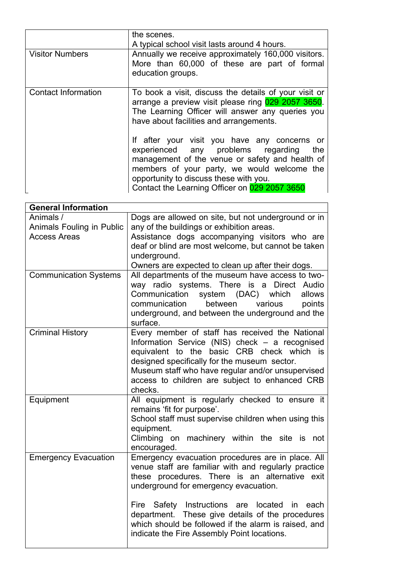|                            | the scenes.<br>A typical school visit lasts around 4 hours.                                                                                                                                                                                                                            |
|----------------------------|----------------------------------------------------------------------------------------------------------------------------------------------------------------------------------------------------------------------------------------------------------------------------------------|
| <b>Visitor Numbers</b>     | Annually we receive approximately 160,000 visitors.<br>More than 60,000 of these are part of formal<br>education groups.                                                                                                                                                               |
| <b>Contact Information</b> | To book a visit, discuss the details of your visit or<br>arrange a preview visit please ring 029 2057 3650.<br>The Learning Officer will answer any queries you<br>have about facilities and arrangements.                                                                             |
|                            | If after your visit you have any concerns or<br>experienced any problems regarding<br>the<br>management of the venue or safety and health of<br>members of your party, we would welcome the<br>opportunity to discuss these with you.<br>Contact the Learning Officer on 029 2057 3650 |

| <b>General Information</b>   |                                                                                                              |
|------------------------------|--------------------------------------------------------------------------------------------------------------|
| Animals /                    | Dogs are allowed on site, but not underground or in                                                          |
| Animals Fouling in Public    | any of the buildings or exhibition areas.                                                                    |
| <b>Access Areas</b>          | Assistance dogs accompanying visitors who are                                                                |
|                              | deaf or blind are most welcome, but cannot be taken                                                          |
|                              | underground.                                                                                                 |
|                              | Owners are expected to clean up after their dogs.                                                            |
| <b>Communication Systems</b> | All departments of the museum have access to two-                                                            |
|                              | way radio systems. There is a Direct Audio                                                                   |
|                              | Communication<br>system (DAC) which<br>allows                                                                |
|                              | communication<br>between<br>points<br>various                                                                |
|                              | underground, and between the underground and the                                                             |
|                              | surface.                                                                                                     |
| <b>Criminal History</b>      | Every member of staff has received the National                                                              |
|                              | Information Service (NIS) check - a recognised<br>equivalent to the basic CRB check which is                 |
|                              | designed specifically for the museum sector.                                                                 |
|                              | Museum staff who have regular and/or unsupervised                                                            |
|                              | access to children are subject to enhanced CRB                                                               |
|                              | checks.                                                                                                      |
| Equipment                    | All equipment is regularly checked to ensure it                                                              |
|                              | remains 'fit for purpose'.                                                                                   |
|                              | School staff must supervise children when using this                                                         |
|                              | equipment.                                                                                                   |
|                              | Climbing on<br>machinery within the site is not                                                              |
|                              | encouraged.                                                                                                  |
| <b>Emergency Evacuation</b>  | Emergency evacuation procedures are in place. All                                                            |
|                              | venue staff are familiar with and regularly practice                                                         |
|                              | these procedures. There is an alternative exit                                                               |
|                              | underground for emergency evacuation.                                                                        |
|                              |                                                                                                              |
|                              | Safety Instructions are<br>located<br>Fire<br>in<br>each<br>department. These give details of the procedures |
|                              | which should be followed if the alarm is raised, and                                                         |
|                              | indicate the Fire Assembly Point locations.                                                                  |
|                              |                                                                                                              |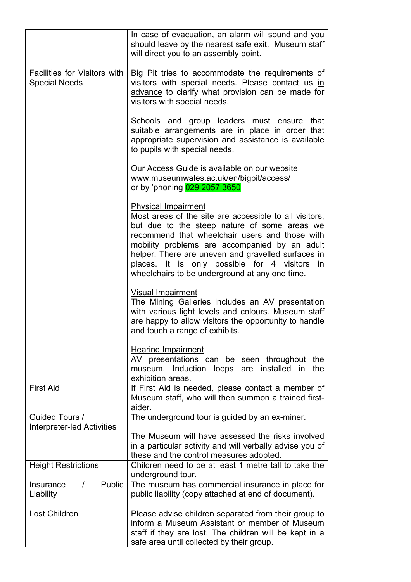|                                                             | In case of evacuation, an alarm will sound and you<br>should leave by the nearest safe exit. Museum staff<br>will direct you to an assembly point.                                                                                                                                                                                                                                               |
|-------------------------------------------------------------|--------------------------------------------------------------------------------------------------------------------------------------------------------------------------------------------------------------------------------------------------------------------------------------------------------------------------------------------------------------------------------------------------|
| <b>Facilities for Visitors with</b><br><b>Special Needs</b> | Big Pit tries to accommodate the requirements of<br>visitors with special needs. Please contact us in<br>advance to clarify what provision can be made for<br>visitors with special needs.                                                                                                                                                                                                       |
|                                                             | Schools and group leaders must ensure<br>that<br>suitable arrangements are in place in order that<br>appropriate supervision and assistance is available<br>to pupils with special needs.                                                                                                                                                                                                        |
|                                                             | Our Access Guide is available on our website<br>www.museumwales.ac.uk/en/bigpit/access/<br>or by 'phoning 029 2057 3650                                                                                                                                                                                                                                                                          |
|                                                             | <b>Physical Impairment</b><br>Most areas of the site are accessible to all visitors,<br>but due to the steep nature of some areas we<br>recommend that wheelchair users and those with<br>mobility problems are accompanied by an adult<br>helper. There are uneven and gravelled surfaces in<br>places. It is only possible for 4 visitors in<br>wheelchairs to be underground at any one time. |
|                                                             | <b>Visual Impairment</b><br>The Mining Galleries includes an AV presentation<br>with various light levels and colours. Museum staff<br>are happy to allow visitors the opportunity to handle<br>and touch a range of exhibits.                                                                                                                                                                   |
|                                                             | <b>Hearing Impairment</b><br>AV presentations can be seen throughout the<br>museum. Induction loops are installed in<br>the<br>exhibition areas.                                                                                                                                                                                                                                                 |
| <b>First Aid</b>                                            | If First Aid is needed, please contact a member of<br>Museum staff, who will then summon a trained first-<br>aider.                                                                                                                                                                                                                                                                              |
| Guided Tours /<br><b>Interpreter-led Activities</b>         | The underground tour is guided by an ex-miner.                                                                                                                                                                                                                                                                                                                                                   |
|                                                             | The Museum will have assessed the risks involved<br>in a particular activity and will verbally advise you of<br>these and the control measures adopted.                                                                                                                                                                                                                                          |
| <b>Height Restrictions</b>                                  | Children need to be at least 1 metre tall to take the<br>underground tour.                                                                                                                                                                                                                                                                                                                       |
| Public<br>Insurance<br>$\prime$<br>Liability                | The museum has commercial insurance in place for<br>public liability (copy attached at end of document).                                                                                                                                                                                                                                                                                         |
| Lost Children                                               | Please advise children separated from their group to<br>inform a Museum Assistant or member of Museum<br>staff if they are lost. The children will be kept in a<br>safe area until collected by their group.                                                                                                                                                                                     |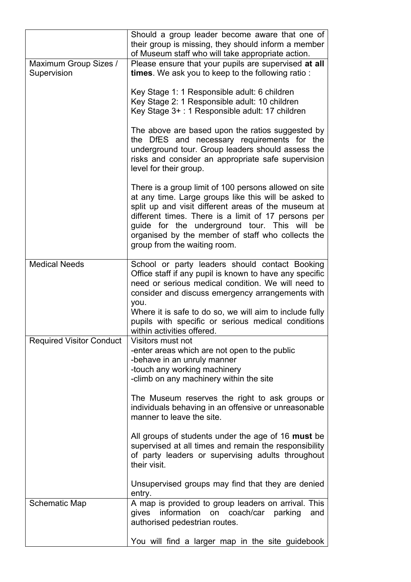|                                      | Should a group leader become aware that one of<br>their group is missing, they should inform a member<br>of Museum staff who will take appropriate action.                                                                                                                                                                                                       |
|--------------------------------------|------------------------------------------------------------------------------------------------------------------------------------------------------------------------------------------------------------------------------------------------------------------------------------------------------------------------------------------------------------------|
| Maximum Group Sizes /<br>Supervision | Please ensure that your pupils are supervised at all<br>times. We ask you to keep to the following ratio:                                                                                                                                                                                                                                                        |
|                                      | Key Stage 1: 1 Responsible adult: 6 children<br>Key Stage 2: 1 Responsible adult: 10 children<br>Key Stage 3+ : 1 Responsible adult: 17 children                                                                                                                                                                                                                 |
|                                      | The above are based upon the ratios suggested by<br>the DfES and necessary requirements for the<br>underground tour. Group leaders should assess the<br>risks and consider an appropriate safe supervision<br>level for their group.                                                                                                                             |
|                                      | There is a group limit of 100 persons allowed on site<br>at any time. Large groups like this will be asked to<br>split up and visit different areas of the museum at<br>different times. There is a limit of 17 persons per<br>guide for the underground tour. This will be<br>organised by the member of staff who collects the<br>group from the waiting room. |
| <b>Medical Needs</b>                 | School or party leaders should contact Booking<br>Office staff if any pupil is known to have any specific<br>need or serious medical condition. We will need to<br>consider and discuss emergency arrangements with<br>you.<br>Where it is safe to do so, we will aim to include fully<br>pupils with specific or serious medical conditions                     |
| Required Visitor Conduct             | within activities offered.<br>Visitors must not<br>-enter areas which are not open to the public<br>-behave in an unruly manner<br>-touch any working machinery<br>-climb on any machinery within the site<br>The Museum reserves the right to ask groups or                                                                                                     |
|                                      | individuals behaving in an offensive or unreasonable<br>manner to leave the site.                                                                                                                                                                                                                                                                                |
|                                      | All groups of students under the age of 16 must be<br>supervised at all times and remain the responsibility<br>of party leaders or supervising adults throughout<br>their visit.                                                                                                                                                                                 |
|                                      | Unsupervised groups may find that they are denied<br>entry.                                                                                                                                                                                                                                                                                                      |
| Schematic Map                        | A map is provided to group leaders on arrival. This<br>information on coach/car parking<br>gives<br>and<br>authorised pedestrian routes.                                                                                                                                                                                                                         |
|                                      | You will find a larger map in the site guidebook                                                                                                                                                                                                                                                                                                                 |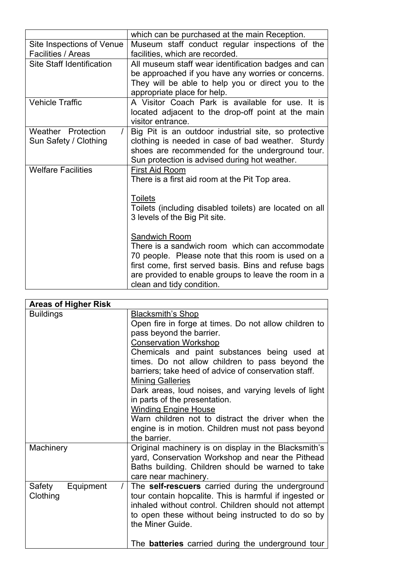|                                                         | which can be purchased at the main Reception.                                                                                                                                                                                                                      |
|---------------------------------------------------------|--------------------------------------------------------------------------------------------------------------------------------------------------------------------------------------------------------------------------------------------------------------------|
| Site Inspections of Venue<br>Facilities / Areas         | Museum staff conduct regular inspections of the<br>facilities, which are recorded.                                                                                                                                                                                 |
| <b>Site Staff Identification</b>                        | All museum staff wear identification badges and can<br>be approached if you have any worries or concerns.<br>They will be able to help you or direct you to the<br>appropriate place for help.                                                                     |
| <b>Vehicle Traffic</b>                                  | A Visitor Coach Park is available for use. It is<br>located adjacent to the drop-off point at the main<br>visitor entrance.                                                                                                                                        |
| Weather Protection<br>$\prime$<br>Sun Safety / Clothing | Big Pit is an outdoor industrial site, so protective<br>clothing is needed in case of bad weather. Sturdy<br>shoes are recommended for the underground tour.<br>Sun protection is advised during hot weather.                                                      |
| <b>Welfare Facilities</b>                               | <b>First Aid Room</b><br>There is a first aid room at the Pit Top area.<br><b>Toilets</b><br>Toilets (including disabled toilets) are located on all<br>3 levels of the Big Pit site.                                                                              |
|                                                         | Sandwich Room<br>There is a sandwich room which can accommodate<br>70 people. Please note that this room is used on a<br>first come, first served basis. Bins and refuse bags<br>are provided to enable groups to leave the room in a<br>clean and tidy condition. |

| <b>Areas of Higher Risk</b>     |                                                                        |
|---------------------------------|------------------------------------------------------------------------|
| <b>Buildings</b>                | <b>Blacksmith's Shop</b>                                               |
|                                 | Open fire in forge at times. Do not allow children to                  |
|                                 | pass beyond the barrier.                                               |
|                                 | <b>Conservation Workshop</b>                                           |
|                                 | Chemicals and paint substances being used at                           |
|                                 | times. Do not allow children to pass beyond the                        |
|                                 | barriers; take heed of advice of conservation staff.                   |
|                                 | <b>Mining Galleries</b>                                                |
|                                 | Dark areas, loud noises, and varying levels of light                   |
|                                 | in parts of the presentation.                                          |
|                                 | <b>Winding Engine House</b>                                            |
|                                 | Warn children not to distract the driver when the                      |
|                                 | engine is in motion. Children must not pass beyond                     |
|                                 | the barrier.                                                           |
| Machinery                       | Original machinery is on display in the Blacksmith's                   |
|                                 | yard, Conservation Workshop and near the Pithead                       |
|                                 | Baths building. Children should be warned to take                      |
|                                 | care near machinery.                                                   |
| Equipment<br>Safety<br>$\prime$ | The self-rescuers carried during the underground                       |
| Clothing                        | tour contain hopcalite. This is harmful if ingested or                 |
|                                 | inhaled without control. Children should not attempt                   |
|                                 | to open these without being instructed to do so by<br>the Miner Guide. |
|                                 |                                                                        |
|                                 | The <b>batteries</b> carried during the underground tour               |
|                                 |                                                                        |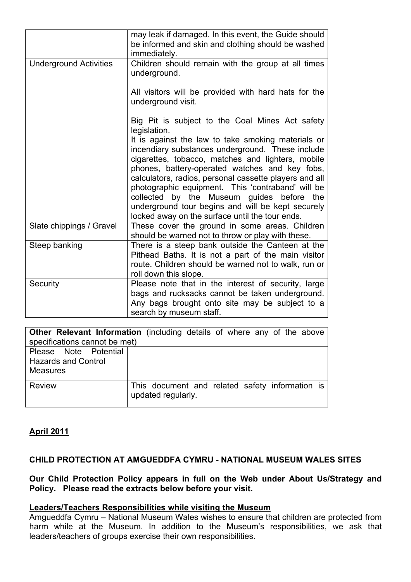|                               | may leak if damaged. In this event, the Guide should<br>be informed and skin and clothing should be washed<br>immediately.                                                                                                                                                                                                                                                                                                                                                        |
|-------------------------------|-----------------------------------------------------------------------------------------------------------------------------------------------------------------------------------------------------------------------------------------------------------------------------------------------------------------------------------------------------------------------------------------------------------------------------------------------------------------------------------|
| <b>Underground Activities</b> | Children should remain with the group at all times<br>underground.                                                                                                                                                                                                                                                                                                                                                                                                                |
|                               | All visitors will be provided with hard hats for the<br>underground visit.                                                                                                                                                                                                                                                                                                                                                                                                        |
|                               | Big Pit is subject to the Coal Mines Act safety<br>legislation.                                                                                                                                                                                                                                                                                                                                                                                                                   |
|                               | It is against the law to take smoking materials or<br>incendiary substances underground. These include<br>cigarettes, tobacco, matches and lighters, mobile<br>phones, battery-operated watches and key fobs,<br>calculators, radios, personal cassette players and all<br>photographic equipment. This 'contraband' will be<br>collected by the Museum guides before the<br>underground tour begins and will be kept securely<br>locked away on the surface until the tour ends. |
| Slate chippings / Gravel      | These cover the ground in some areas. Children<br>should be warned not to throw or play with these.                                                                                                                                                                                                                                                                                                                                                                               |
| Steep banking                 | There is a steep bank outside the Canteen at the<br>Pithead Baths. It is not a part of the main visitor<br>route. Children should be warned not to walk, run or<br>roll down this slope.                                                                                                                                                                                                                                                                                          |
| Security                      | Please note that in the interest of security, large<br>bags and rucksacks cannot be taken underground.<br>Any bags brought onto site may be subject to a<br>search by museum staff.                                                                                                                                                                                                                                                                                               |

|                               | <b>Other Relevant Information</b> (including details of where any of the above |
|-------------------------------|--------------------------------------------------------------------------------|
| specifications cannot be met) |                                                                                |
| Please Note Potential         |                                                                                |
| <b>Hazards and Control</b>    |                                                                                |
| <b>Measures</b>               |                                                                                |
|                               |                                                                                |
| Review                        | This document and related safety information is<br>updated regularly.          |

# **April 2011**

#### **CHILD PROTECTION AT AMGUEDDFA CYMRU - NATIONAL MUSEUM WALES SITES**

#### **Our Child Protection Policy appears in full on the Web under About Us/Strategy and Policy. Please read the extracts below before your visit.**

#### **Leaders/Teachers Responsibilities while visiting the Museum**

Amgueddfa Cymru – National Museum Wales wishes to ensure that children are protected from harm while at the Museum. In addition to the Museum's responsibilities, we ask that leaders/teachers of groups exercise their own responsibilities.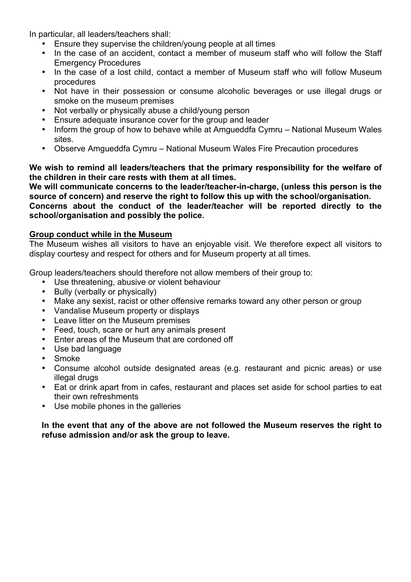In particular, all leaders/teachers shall:

- Ensure they supervise the children/young people at all times
- In the case of an accident, contact a member of museum staff who will follow the Staff Emergency Procedures
- In the case of a lost child, contact a member of Museum staff who will follow Museum procedures
- Not have in their possession or consume alcoholic beverages or use illegal drugs or smoke on the museum premises
- Not verbally or physically abuse a child/young person
- Ensure adequate insurance cover for the group and leader
- Inform the group of how to behave while at Amgueddfa Cymru National Museum Wales sites.
- Observe Amgueddfa Cymru National Museum Wales Fire Precaution procedures

**We wish to remind all leaders/teachers that the primary responsibility for the welfare of the children in their care rests with them at all times.**

**We will communicate concerns to the leader/teacher-in-charge, (unless this person is the source of concern) and reserve the right to follow this up with the school/organisation. Concerns about the conduct of the leader/teacher will be reported directly to the school/organisation and possibly the police.**

#### **Group conduct while in the Museum**

The Museum wishes all visitors to have an enjoyable visit. We therefore expect all visitors to display courtesy and respect for others and for Museum property at all times.

Group leaders/teachers should therefore not allow members of their group to:

- Use threatening, abusive or violent behaviour
- Bully (verbally or physically)
- Make any sexist, racist or other offensive remarks toward any other person or group
- Vandalise Museum property or displays
- Leave litter on the Museum premises<br>• Feed touch scare or hurt any animal
- Feed, touch, scare or hurt any animals present<br>• Foter areas of the Museum that are cordoned of
- Enter areas of the Museum that are cordoned off
- Use bad language
- Smoke<br>• Consun
- Consume alcohol outside designated areas (e.g. restaurant and picnic areas) or use illegal drugs
- Eat or drink apart from in cafes, restaurant and places set aside for school parties to eat their own refreshments
- Use mobile phones in the galleries

#### **In the event that any of the above are not followed the Museum reserves the right to refuse admission and/or ask the group to leave.**